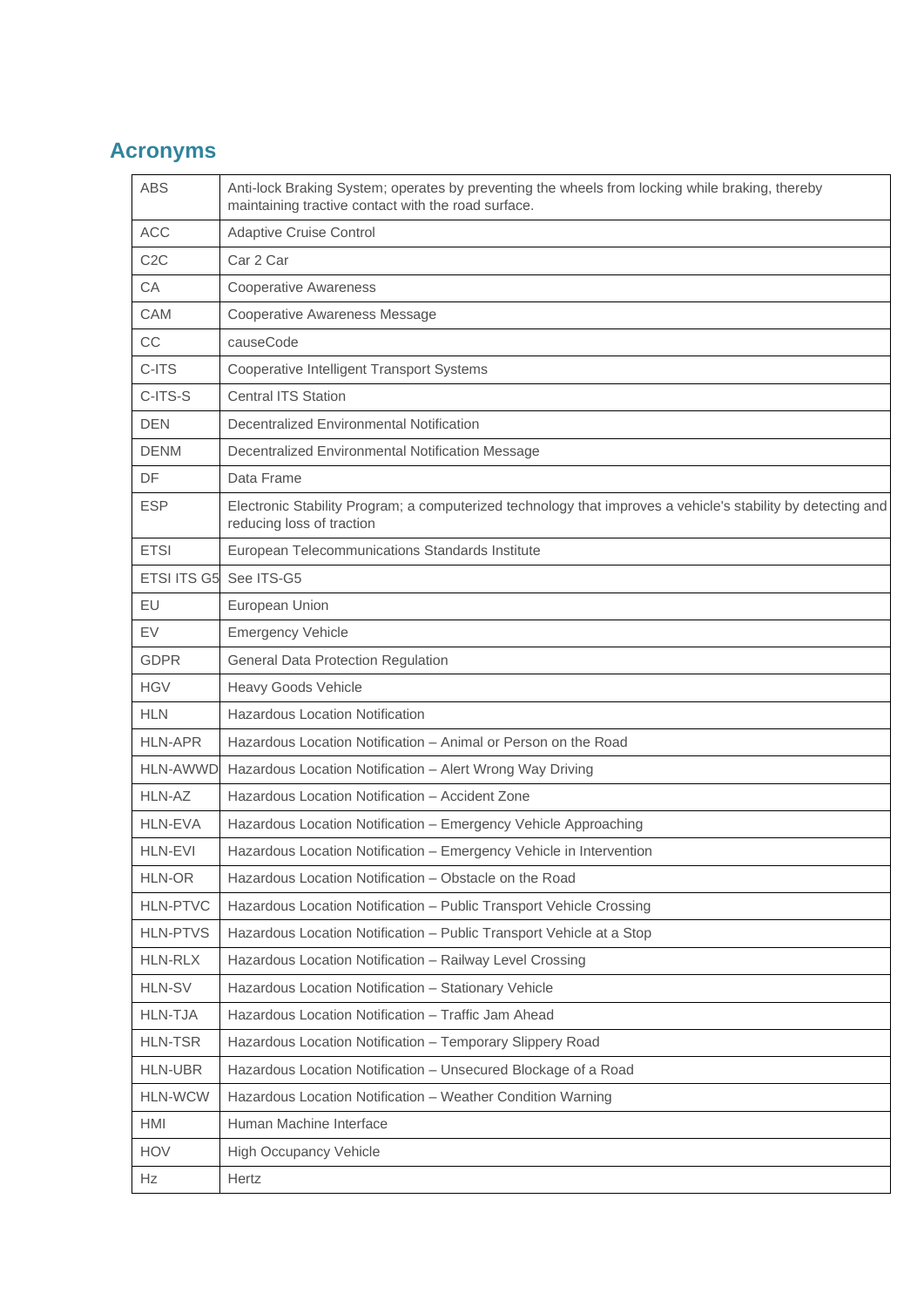## **Acronyms**

| <b>ABS</b>         | Anti-lock Braking System; operates by preventing the wheels from locking while braking, thereby<br>maintaining tractive contact with the road surface. |
|--------------------|--------------------------------------------------------------------------------------------------------------------------------------------------------|
| <b>ACC</b>         | <b>Adaptive Cruise Control</b>                                                                                                                         |
| C <sub>2</sub> C   | Car 2 Car                                                                                                                                              |
| CA                 | <b>Cooperative Awareness</b>                                                                                                                           |
| <b>CAM</b>         | <b>Cooperative Awareness Message</b>                                                                                                                   |
| CC                 | causeCode                                                                                                                                              |
| C-ITS              | Cooperative Intelligent Transport Systems                                                                                                              |
| C-ITS-S            | <b>Central ITS Station</b>                                                                                                                             |
| <b>DEN</b>         | Decentralized Environmental Notification                                                                                                               |
| <b>DENM</b>        | Decentralized Environmental Notification Message                                                                                                       |
| DF                 | Data Frame                                                                                                                                             |
| <b>ESP</b>         | Electronic Stability Program; a computerized technology that improves a vehicle's stability by detecting and<br>reducing loss of traction              |
| <b>ETSI</b>        | European Telecommunications Standards Institute                                                                                                        |
| <b>ETSI ITS G5</b> | See ITS-G5                                                                                                                                             |
| EU                 | European Union                                                                                                                                         |
| EV                 | <b>Emergency Vehicle</b>                                                                                                                               |
| <b>GDPR</b>        | <b>General Data Protection Regulation</b>                                                                                                              |
| <b>HGV</b>         | <b>Heavy Goods Vehicle</b>                                                                                                                             |
| <b>HLN</b>         | <b>Hazardous Location Notification</b>                                                                                                                 |
| <b>HLN-APR</b>     | Hazardous Location Notification – Animal or Person on the Road                                                                                         |
| <b>HLN-AWWD</b>    | Hazardous Location Notification - Alert Wrong Way Driving                                                                                              |
| HLN-AZ             | Hazardous Location Notification - Accident Zone                                                                                                        |
| <b>HLN-EVA</b>     | Hazardous Location Notification - Emergency Vehicle Approaching                                                                                        |
| <b>HLN-EVI</b>     | Hazardous Location Notification - Emergency Vehicle in Intervention                                                                                    |
| HLN-OR             | Hazardous Location Notification - Obstacle on the Road                                                                                                 |
| <b>HLN-PTVC</b>    | Hazardous Location Notification - Public Transport Vehicle Crossing                                                                                    |
| <b>HLN-PTVS</b>    | Hazardous Location Notification - Public Transport Vehicle at a Stop                                                                                   |
| <b>HLN-RLX</b>     | Hazardous Location Notification - Railway Level Crossing                                                                                               |
| <b>HLN-SV</b>      | Hazardous Location Notification - Stationary Vehicle                                                                                                   |
| <b>HLN-TJA</b>     | Hazardous Location Notification - Traffic Jam Ahead                                                                                                    |
| <b>HLN-TSR</b>     | Hazardous Location Notification - Temporary Slippery Road                                                                                              |
| <b>HLN-UBR</b>     | Hazardous Location Notification - Unsecured Blockage of a Road                                                                                         |
| <b>HLN-WCW</b>     | Hazardous Location Notification - Weather Condition Warning                                                                                            |
| <b>HMI</b>         | Human Machine Interface                                                                                                                                |
| <b>HOV</b>         | <b>High Occupancy Vehicle</b>                                                                                                                          |
| Hz                 | Hertz                                                                                                                                                  |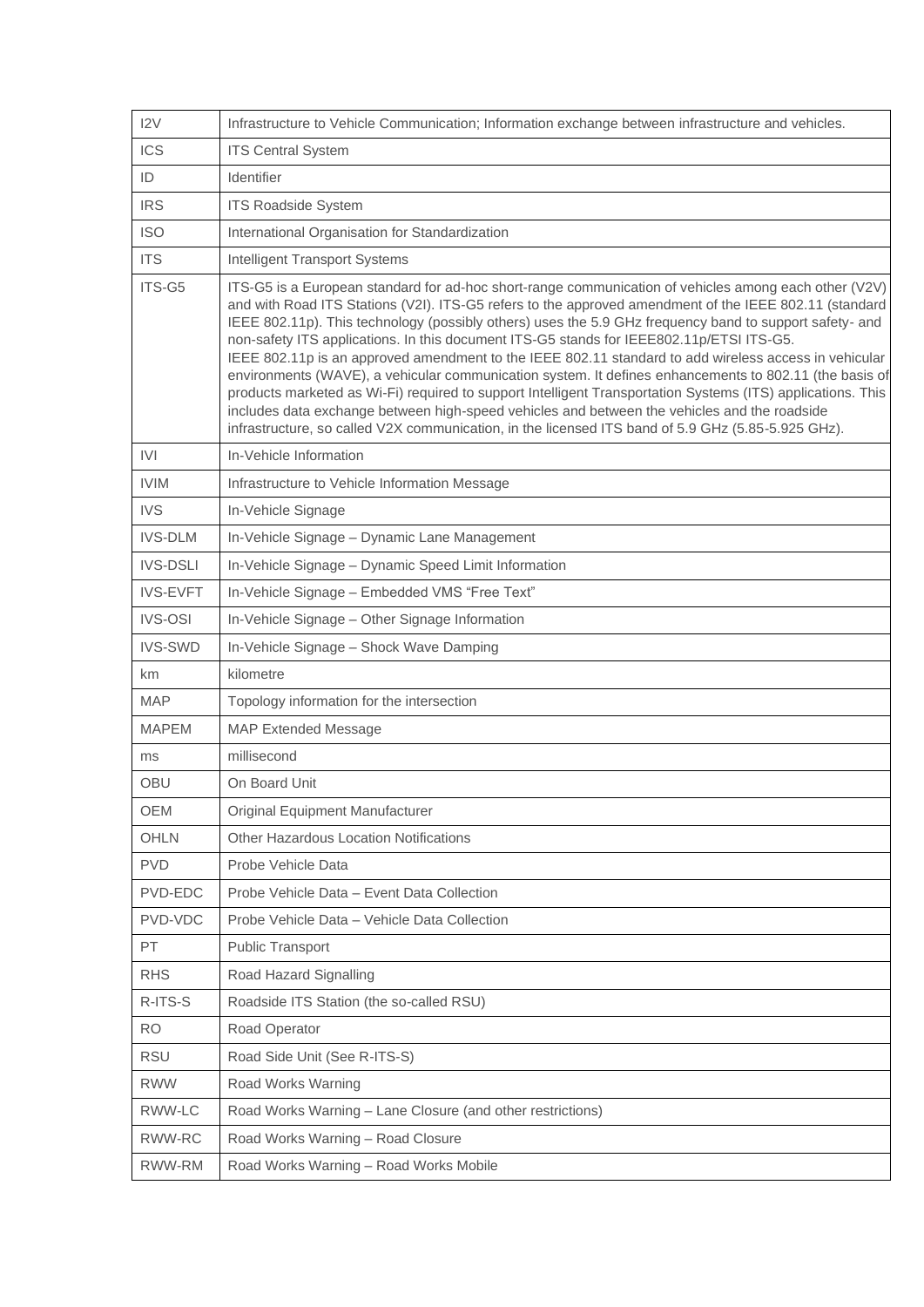| 12V             | Infrastructure to Vehicle Communication; Information exchange between infrastructure and vehicles.                                                                                                                                                                                                                                                                                                                                                                                                                                                                                                                                                                                                                                                                                                                                                                                                                                                             |
|-----------------|----------------------------------------------------------------------------------------------------------------------------------------------------------------------------------------------------------------------------------------------------------------------------------------------------------------------------------------------------------------------------------------------------------------------------------------------------------------------------------------------------------------------------------------------------------------------------------------------------------------------------------------------------------------------------------------------------------------------------------------------------------------------------------------------------------------------------------------------------------------------------------------------------------------------------------------------------------------|
| ICS             | <b>ITS Central System</b>                                                                                                                                                                                                                                                                                                                                                                                                                                                                                                                                                                                                                                                                                                                                                                                                                                                                                                                                      |
| ID              | Identifier                                                                                                                                                                                                                                                                                                                                                                                                                                                                                                                                                                                                                                                                                                                                                                                                                                                                                                                                                     |
| <b>IRS</b>      | <b>ITS Roadside System</b>                                                                                                                                                                                                                                                                                                                                                                                                                                                                                                                                                                                                                                                                                                                                                                                                                                                                                                                                     |
| <b>ISO</b>      | International Organisation for Standardization                                                                                                                                                                                                                                                                                                                                                                                                                                                                                                                                                                                                                                                                                                                                                                                                                                                                                                                 |
| <b>ITS</b>      | Intelligent Transport Systems                                                                                                                                                                                                                                                                                                                                                                                                                                                                                                                                                                                                                                                                                                                                                                                                                                                                                                                                  |
| ITS-G5          | ITS-G5 is a European standard for ad-hoc short-range communication of vehicles among each other (V2V)<br>and with Road ITS Stations (V2I). ITS-G5 refers to the approved amendment of the IEEE 802.11 (standard<br>IEEE 802.11p). This technology (possibly others) uses the 5.9 GHz frequency band to support safety- and<br>non-safety ITS applications. In this document ITS-G5 stands for IEEE802.11p/ETSI ITS-G5.<br>IEEE 802.11p is an approved amendment to the IEEE 802.11 standard to add wireless access in vehicular<br>environments (WAVE), a vehicular communication system. It defines enhancements to 802.11 (the basis of<br>products marketed as Wi-Fi) required to support Intelligent Transportation Systems (ITS) applications. This<br>includes data exchange between high-speed vehicles and between the vehicles and the roadside<br>infrastructure, so called V2X communication, in the licensed ITS band of 5.9 GHz (5.85-5.925 GHz). |
| <b>IVI</b>      | In-Vehicle Information                                                                                                                                                                                                                                                                                                                                                                                                                                                                                                                                                                                                                                                                                                                                                                                                                                                                                                                                         |
| <b>IVIM</b>     | Infrastructure to Vehicle Information Message                                                                                                                                                                                                                                                                                                                                                                                                                                                                                                                                                                                                                                                                                                                                                                                                                                                                                                                  |
| <b>IVS</b>      | In-Vehicle Signage                                                                                                                                                                                                                                                                                                                                                                                                                                                                                                                                                                                                                                                                                                                                                                                                                                                                                                                                             |
| <b>IVS-DLM</b>  | In-Vehicle Signage - Dynamic Lane Management                                                                                                                                                                                                                                                                                                                                                                                                                                                                                                                                                                                                                                                                                                                                                                                                                                                                                                                   |
| <b>IVS-DSLI</b> | In-Vehicle Signage - Dynamic Speed Limit Information                                                                                                                                                                                                                                                                                                                                                                                                                                                                                                                                                                                                                                                                                                                                                                                                                                                                                                           |
| <b>IVS-EVFT</b> | In-Vehicle Signage - Embedded VMS "Free Text"                                                                                                                                                                                                                                                                                                                                                                                                                                                                                                                                                                                                                                                                                                                                                                                                                                                                                                                  |
| <b>IVS-OSI</b>  | In-Vehicle Signage - Other Signage Information                                                                                                                                                                                                                                                                                                                                                                                                                                                                                                                                                                                                                                                                                                                                                                                                                                                                                                                 |
| <b>IVS-SWD</b>  | In-Vehicle Signage - Shock Wave Damping                                                                                                                                                                                                                                                                                                                                                                                                                                                                                                                                                                                                                                                                                                                                                                                                                                                                                                                        |
| km              | kilometre                                                                                                                                                                                                                                                                                                                                                                                                                                                                                                                                                                                                                                                                                                                                                                                                                                                                                                                                                      |
| <b>MAP</b>      | Topology information for the intersection                                                                                                                                                                                                                                                                                                                                                                                                                                                                                                                                                                                                                                                                                                                                                                                                                                                                                                                      |
| <b>MAPEM</b>    | <b>MAP Extended Message</b>                                                                                                                                                                                                                                                                                                                                                                                                                                                                                                                                                                                                                                                                                                                                                                                                                                                                                                                                    |
| ms              | millisecond                                                                                                                                                                                                                                                                                                                                                                                                                                                                                                                                                                                                                                                                                                                                                                                                                                                                                                                                                    |
| <b>OBU</b>      | On Board Unit                                                                                                                                                                                                                                                                                                                                                                                                                                                                                                                                                                                                                                                                                                                                                                                                                                                                                                                                                  |
| <b>OEM</b>      | Original Equipment Manufacturer                                                                                                                                                                                                                                                                                                                                                                                                                                                                                                                                                                                                                                                                                                                                                                                                                                                                                                                                |
| <b>OHLN</b>     | Other Hazardous Location Notifications                                                                                                                                                                                                                                                                                                                                                                                                                                                                                                                                                                                                                                                                                                                                                                                                                                                                                                                         |
| <b>PVD</b>      | Probe Vehicle Data                                                                                                                                                                                                                                                                                                                                                                                                                                                                                                                                                                                                                                                                                                                                                                                                                                                                                                                                             |
| PVD-EDC         | Probe Vehicle Data - Event Data Collection                                                                                                                                                                                                                                                                                                                                                                                                                                                                                                                                                                                                                                                                                                                                                                                                                                                                                                                     |
| PVD-VDC         | Probe Vehicle Data - Vehicle Data Collection                                                                                                                                                                                                                                                                                                                                                                                                                                                                                                                                                                                                                                                                                                                                                                                                                                                                                                                   |
| PT              | Public Transport                                                                                                                                                                                                                                                                                                                                                                                                                                                                                                                                                                                                                                                                                                                                                                                                                                                                                                                                               |
| <b>RHS</b>      | Road Hazard Signalling                                                                                                                                                                                                                                                                                                                                                                                                                                                                                                                                                                                                                                                                                                                                                                                                                                                                                                                                         |
| R-ITS-S         | Roadside ITS Station (the so-called RSU)                                                                                                                                                                                                                                                                                                                                                                                                                                                                                                                                                                                                                                                                                                                                                                                                                                                                                                                       |
| <b>RO</b>       | Road Operator                                                                                                                                                                                                                                                                                                                                                                                                                                                                                                                                                                                                                                                                                                                                                                                                                                                                                                                                                  |
| <b>RSU</b>      | Road Side Unit (See R-ITS-S)                                                                                                                                                                                                                                                                                                                                                                                                                                                                                                                                                                                                                                                                                                                                                                                                                                                                                                                                   |
| <b>RWW</b>      | Road Works Warning                                                                                                                                                                                                                                                                                                                                                                                                                                                                                                                                                                                                                                                                                                                                                                                                                                                                                                                                             |
| RWW-LC          | Road Works Warning – Lane Closure (and other restrictions)                                                                                                                                                                                                                                                                                                                                                                                                                                                                                                                                                                                                                                                                                                                                                                                                                                                                                                     |
| RWW-RC          | Road Works Warning - Road Closure                                                                                                                                                                                                                                                                                                                                                                                                                                                                                                                                                                                                                                                                                                                                                                                                                                                                                                                              |
| RWW-RM          | Road Works Warning - Road Works Mobile                                                                                                                                                                                                                                                                                                                                                                                                                                                                                                                                                                                                                                                                                                                                                                                                                                                                                                                         |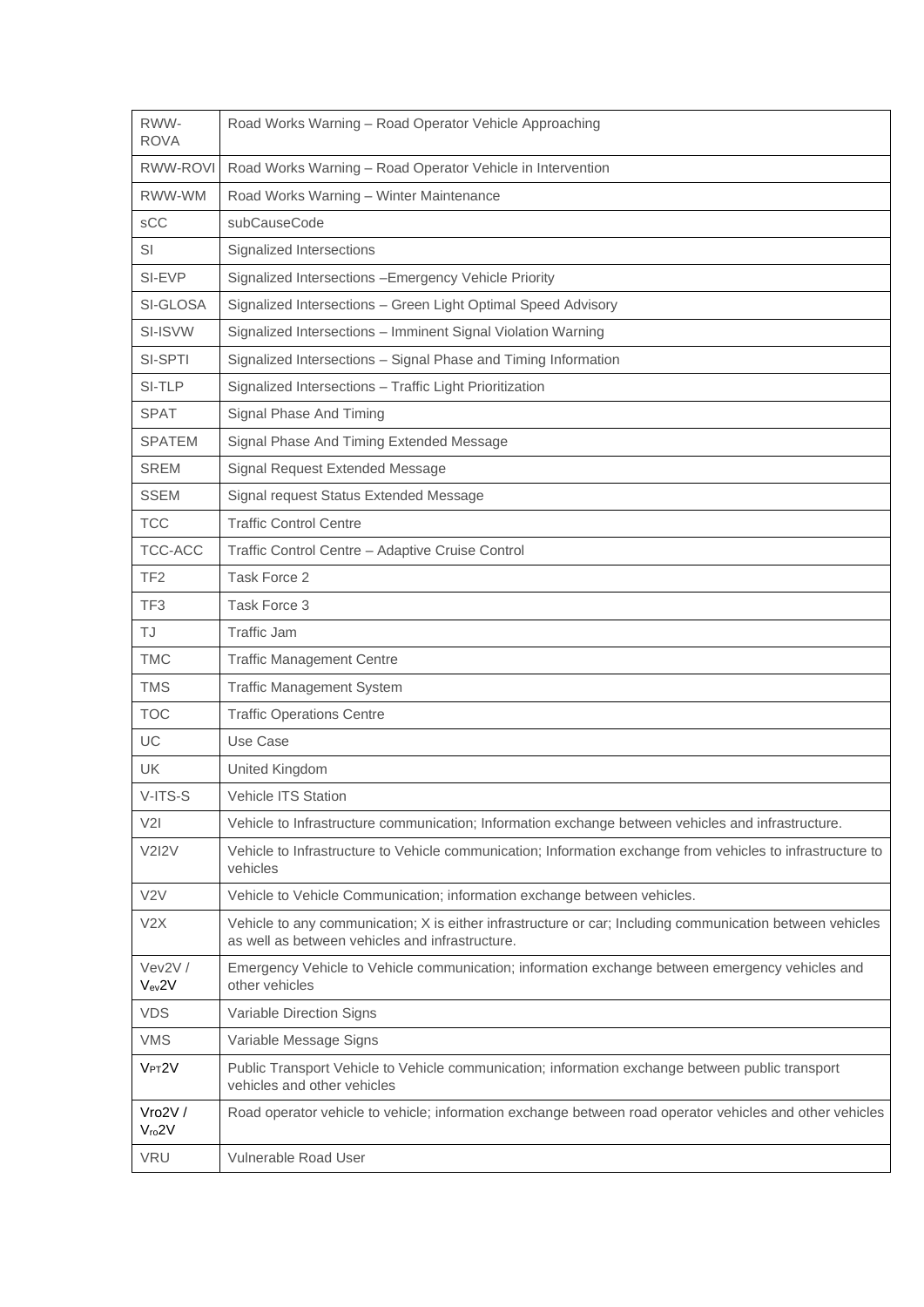| RWW-<br><b>ROVA</b>    | Road Works Warning - Road Operator Vehicle Approaching                                                                                                       |
|------------------------|--------------------------------------------------------------------------------------------------------------------------------------------------------------|
| RWW-ROVI               | Road Works Warning - Road Operator Vehicle in Intervention                                                                                                   |
| RWW-WM                 | Road Works Warning - Winter Maintenance                                                                                                                      |
| sCC                    | subCauseCode                                                                                                                                                 |
| SI                     | Signalized Intersections                                                                                                                                     |
| SI-EVP                 | Signalized Intersections - Emergency Vehicle Priority                                                                                                        |
| SI-GLOSA               | Signalized Intersections - Green Light Optimal Speed Advisory                                                                                                |
| SI-ISVW                | Signalized Intersections - Imminent Signal Violation Warning                                                                                                 |
| SI-SPTI                | Signalized Intersections - Signal Phase and Timing Information                                                                                               |
| SI-TLP                 | Signalized Intersections - Traffic Light Prioritization                                                                                                      |
| <b>SPAT</b>            | Signal Phase And Timing                                                                                                                                      |
| <b>SPATEM</b>          | Signal Phase And Timing Extended Message                                                                                                                     |
| <b>SREM</b>            | Signal Request Extended Message                                                                                                                              |
| <b>SSEM</b>            | Signal request Status Extended Message                                                                                                                       |
| <b>TCC</b>             | <b>Traffic Control Centre</b>                                                                                                                                |
| TCC-ACC                | Traffic Control Centre - Adaptive Cruise Control                                                                                                             |
| TF <sub>2</sub>        | Task Force 2                                                                                                                                                 |
| TF <sub>3</sub>        | Task Force 3                                                                                                                                                 |
| TJ                     | <b>Traffic Jam</b>                                                                                                                                           |
| <b>TMC</b>             | <b>Traffic Management Centre</b>                                                                                                                             |
| <b>TMS</b>             | <b>Traffic Management System</b>                                                                                                                             |
| <b>TOC</b>             | <b>Traffic Operations Centre</b>                                                                                                                             |
| UC                     | Use Case                                                                                                                                                     |
| <b>UK</b>              | United Kingdom                                                                                                                                               |
| V-ITS-S                | Vehicle ITS Station                                                                                                                                          |
| V2I                    | Vehicle to Infrastructure communication; Information exchange between vehicles and infrastructure.                                                           |
| <b>V2I2V</b>           | Vehicle to Infrastructure to Vehicle communication; Information exchange from vehicles to infrastructure to<br>vehicles                                      |
| V2V                    | Vehicle to Vehicle Communication; information exchange between vehicles.                                                                                     |
| V2X                    | Vehicle to any communication; X is either infrastructure or car; Including communication between vehicles<br>as well as between vehicles and infrastructure. |
| Vev2V /<br>$V_{ev}$ 2V | Emergency Vehicle to Vehicle communication; information exchange between emergency vehicles and<br>other vehicles                                            |
| <b>VDS</b>             | Variable Direction Signs                                                                                                                                     |
| <b>VMS</b>             | Variable Message Signs                                                                                                                                       |
| $V_{PT}2V$             | Public Transport Vehicle to Vehicle communication; information exchange between public transport<br>vehicles and other vehicles                              |
| Vro2V/<br>$V_{ro}$ 2V  | Road operator vehicle to vehicle; information exchange between road operator vehicles and other vehicles                                                     |
| <b>VRU</b>             | Vulnerable Road User                                                                                                                                         |